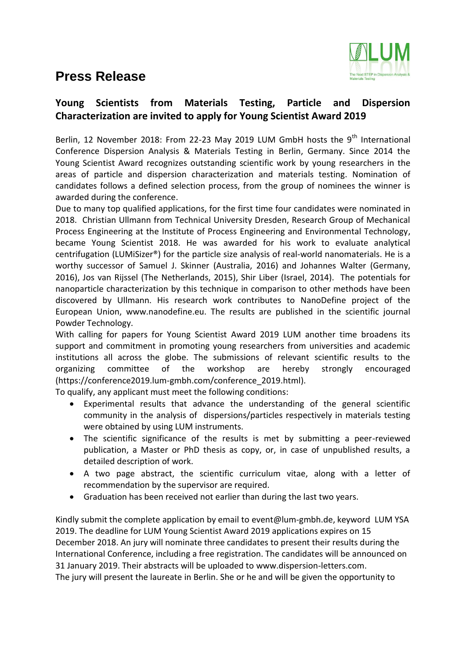## **Press Release**



## **Young Scientists from Materials Testing, Particle and Dispersion Characterization are invited to apply for Young Scientist Award 2019**

Berlin, 12 November 2018: From 22-23 May 2019 LUM GmbH hosts the  $9<sup>th</sup>$  International Conference Dispersion Analysis & Materials Testing in Berlin, Germany. Since 2014 the Young Scientist Award recognizes outstanding scientific work by young researchers in the areas of particle and dispersion characterization and materials testing. Nomination of candidates follows a defined selection process, from the group of nominees the winner is awarded during the conference.

Due to many top qualified applications, for the first time four candidates were nominated in 2018. Christian Ullmann from Technical University Dresden, Research Group of Mechanical Process Engineering at the Institute of Process Engineering and Environmental Technology, became Young Scientist 2018. He was awarded for his work to evaluate analytical centrifugation (LUMiSizer®) for the particle size analysis of real-world nanomaterials. He is a worthy successor of Samuel J. Skinner (Australia, 2016) and Johannes Walter (Germany, 2016), Jos van Rijssel (The Netherlands, 2015), Shir Liber (Israel, 2014). The potentials for nanoparticle characterization by this technique in comparison to other methods have been discovered by Ullmann. His research work contributes to NanoDefine project of the European Union, www.nanodefine.eu. The results are published in the scientific journal Powder Technology.

With calling for papers for Young Scientist Award 2019 LUM another time broadens its support and commitment in promoting young researchers from universities and academic institutions all across the globe. The submissions of relevant scientific results to the organizing committee of the workshop are hereby strongly encouraged [\(https://conference2019.lum-gmbh.com/conference\\_2019.html\)](https://conference2019.lum-gmbh.com/conference_2019.html).

To qualify, any applicant must meet the following conditions:

- Experimental results that advance the understanding of the general scientific community in the analysis of dispersions/particles respectively in materials testing were obtained by using LUM instruments.
- The scientific significance of the results is met by submitting a peer-reviewed publication, a Master or PhD thesis as copy, or, in case of unpublished results, a detailed description of work.
- A two page abstract, the scientific curriculum vitae, along with a letter of recommendation by the supervisor are required.
- Graduation has been received not earlier than during the last two years.

Kindly submit the complete application by email to [event@lum-gmbh.de,](mailto:event@lum-gmbh.de) keyword LUM YSA 2019. The deadline for LUM Young Scientist Award 2019 applications expires on 15 December 2018. An jury will nominate three candidates to present their results during the International Conference, including a free registration. The candidates will be announced on 31 January 2019. Their abstracts will be uploaded to [www.dispersion-letters.com.](http://www.dispersion-letters.com/) The jury will present the laureate in Berlin. She or he and will be given the opportunity to